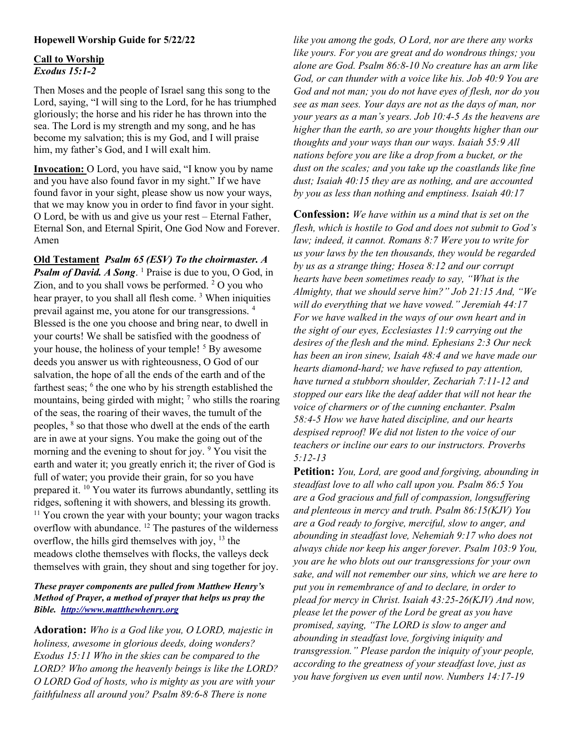## Hopewell Worship Guide for 5/22/22

## Call to Worship Exodus 15:1-2

Then Moses and the people of Israel sang this song to the Lord, saying, "I will sing to the Lord, for he has triumphed gloriously; the horse and his rider he has thrown into the sea. The Lord is my strength and my song, and he has become my salvation; this is my God, and I will praise him, my father's God, and I will exalt him.

Invocation: O Lord, you have said, "I know you by name and you have also found favor in my sight." If we have found favor in your sight, please show us now your ways, that we may know you in order to find favor in your sight. O Lord, be with us and give us your rest – Eternal Father, Eternal Son, and Eternal Spirit, One God Now and Forever. Amen

Old Testament Psalm 65 (ESV) To the choirmaster. A Psalm of David. A Song.<sup>1</sup> Praise is due to you, O God, in Zion, and to you shall vows be performed. <sup>2</sup> O you who hear prayer, to you shall all flesh come.<sup>3</sup> When iniquities prevail against me, you atone for our transgressions. <sup>4</sup> Blessed is the one you choose and bring near, to dwell in your courts! We shall be satisfied with the goodness of your house, the holiness of your temple! <sup>5</sup> By awesome deeds you answer us with righteousness, O God of our salvation, the hope of all the ends of the earth and of the farthest seas; <sup>6</sup> the one who by his strength established the mountains, being girded with might;  $\frac{7}{1}$  who stills the roaring of the seas, the roaring of their waves, the tumult of the peoples, <sup>8</sup> so that those who dwell at the ends of the earth are in awe at your signs. You make the going out of the morning and the evening to shout for joy. <sup>9</sup> You visit the earth and water it; you greatly enrich it; the river of God is full of water; you provide their grain, for so you have prepared it. <sup>10</sup> You water its furrows abundantly, settling its ridges, softening it with showers, and blessing its growth.  $11$  You crown the year with your bounty; your wagon tracks overflow with abundance. <sup>12</sup> The pastures of the wilderness overflow, the hills gird themselves with joy, <sup>13</sup> the meadows clothe themselves with flocks, the valleys deck themselves with grain, they shout and sing together for joy.

## These prayer components are pulled from Matthew Henry's Method of Prayer, a method of prayer that helps us pray the Bible. http://www.mattthewhenry.org

Adoration: Who is a God like you, O LORD, majestic in holiness, awesome in glorious deeds, doing wonders? Exodus 15:11 Who in the skies can be compared to the LORD? Who among the heavenly beings is like the LORD? O LORD God of hosts, who is mighty as you are with your faithfulness all around you? Psalm 89:6-8 There is none

like you among the gods, O Lord, nor are there any works like yours. For you are great and do wondrous things; you alone are God. Psalm 86:8-10 No creature has an arm like God, or can thunder with a voice like his. Job 40:9 You are God and not man; you do not have eyes of flesh, nor do you see as man sees. Your days are not as the days of man, nor your years as a man's years. Job 10:4-5 As the heavens are higher than the earth, so are your thoughts higher than our thoughts and your ways than our ways. Isaiah 55:9 All nations before you are like a drop from a bucket, or the dust on the scales; and you take up the coastlands like fine dust; Isaiah 40:15 they are as nothing, and are accounted by you as less than nothing and emptiness. Isaiah 40:17

**Confession:** We have within us a mind that is set on the flesh, which is hostile to God and does not submit to God's law; indeed, it cannot. Romans 8:7 Were you to write for us your laws by the ten thousands, they would be regarded by us as a strange thing; Hosea 8:12 and our corrupt hearts have been sometimes ready to say, "What is the Almighty, that we should serve him?" Job 21:15 And, "We will do everything that we have vowed." Jeremiah 44:17 For we have walked in the ways of our own heart and in the sight of our eyes, Ecclesiastes 11:9 carrying out the desires of the flesh and the mind. Ephesians 2:3 Our neck has been an iron sinew, Isaiah 48:4 and we have made our hearts diamond-hard; we have refused to pay attention, have turned a stubborn shoulder, Zechariah 7:11-12 and stopped our ears like the deaf adder that will not hear the voice of charmers or of the cunning enchanter. Psalm 58:4-5 How we have hated discipline, and our hearts despised reproof! We did not listen to the voice of our teachers or incline our ears to our instructors. Proverbs 5:12-13

Petition: You, Lord, are good and forgiving, abounding in steadfast love to all who call upon you. Psalm 86:5 You are a God gracious and full of compassion, longsuffering and plenteous in mercy and truth. Psalm 86:15(KJV) You are a God ready to forgive, merciful, slow to anger, and abounding in steadfast love, Nehemiah 9:17 who does not always chide nor keep his anger forever. Psalm 103:9 You, you are he who blots out our transgressions for your own sake, and will not remember our sins, which we are here to put you in remembrance of and to declare, in order to plead for mercy in Christ. Isaiah 43:25-26(KJV) And now, please let the power of the Lord be great as you have promised, saying, "The LORD is slow to anger and abounding in steadfast love, forgiving iniquity and transgression." Please pardon the iniquity of your people, according to the greatness of your steadfast love, just as you have forgiven us even until now. Numbers 14:17-19